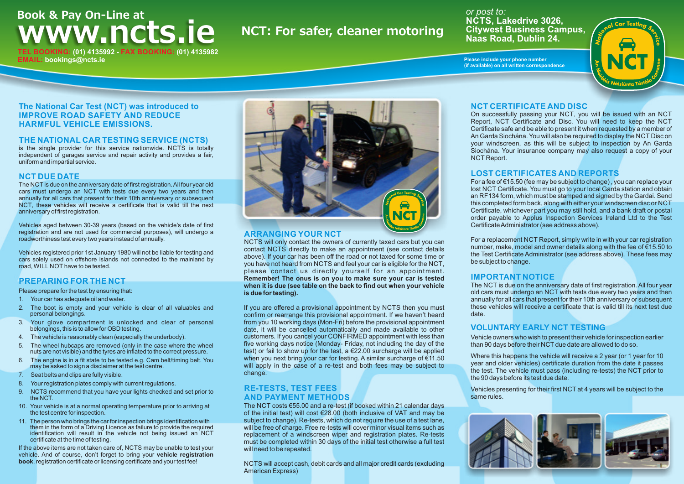# **Book & Pay On-Line at WWW.ncts.ie** NCT: For safer, cleaner motoring **TEL BOOKING: (01) 4135992 - FAX BOOKING: (01) 4135982**

*or post to:*  **NCTS, Lakedrive 3026, Citywest Business Campus, Naas Road, Dublin 24.**

**Please include your phone number (if available) on all written correspondence**



#### **The National Car Test (NCT) was introduced to IMPROVE ROAD SAFETY AND REDUCE HARMFUL VEHICLE EMISSIONS.**

#### **THE NATIONAL CAR TESTING SERVICE (NCTS)**

is the single provider for this service nationwide. NCTS is totally independent of garages service and repair activity and provides a fair, uniform and impartial service.

#### **NCT DUE DATE**

**EMAIL: bookings@ncts.ie**

The NCT is due on the anniversary date of first registration. All four year old cars must undergo an NCT with tests due every two years and then annually for all cars that present for their 10th anniversary or subsequent NCT, these vehicles will receive a certificate that is valid till the next anniversary of first registration.

Vehicles aged between 30-39 years (based on the vehicle's date of first registration and are not used for commercial purposes), will undergo a roadworthiness test every two years instead of annually.

Vehicles registered prior 1st January 1980 will not be liable for testing and cars solely used on offshore islands not connected to the mainland by road, WILL NOT have to be tested.

#### **PREPARING FOR THE NCT**

#### Please prepare for the test by ensuring that:

- 1. Your car has adequate oil and water.
- 2. The boot is empty and your vehicle is clear of all valuables and personal belongings.
- 3. Your glove compartment is unlocked and clear of personal belongings, this is to allow for OBD testing.
- 4. The vehicle is reasonably clean (especially the underbody).
- 5. The wheel hubcaps are removed (only in the case where the wheel nuts are not visible) and the tyres are inflated to the correct pressure.
- 6. The engine is in a fit state to be tested e.g. Cam belt/timing belt. You may be asked to sign a disclaimer at the test centre.
- 7. Seat belts and clips are fully visible.
- 8. Your registration plates comply with current regulations.
- 9. NCTS recommend that you have your lights checked and set prior to the NCT.
- 10. Your vehicle is at a normal operating temperature prior to arriving at the test centre for inspection.
- 11. The person who brings the car for inspection brings identification with them in the form of a Driving Licence as failure to provide the required identification will result in the vehicle not being issued an NCT certificate at the time of testing.

If the above items are not taken care of, NCTS may be unable to test your vehicle. And of course, don't forget to bring your **vehicle registration book**, registration certificate or licensing certificate and your test fee!



#### **ARRANGING YOUR NCT**

NCTS will only contact the owners of currently taxed cars but you can contact NCTS directly to make an appointment (see contact details above). If your car has been off the road or not taxed for some time or you have not heard from NCTS and feel your car is eligible for the NCT, please contact us directly yourself for an appointment. **Remember! The onus is on you to make sure your car is tested when it is due (see table on the back to find out when your vehicle is due for testing).**

If you are offered a provisional appointment by NCTS then you must confirm or rearrange this provisional appointment. If we haven't heard from you 10 working days (Mon-Fri) before the provisional appointment date, it will be cancelled automatically and made available to other customers. If you cancel your CONFIRMED appointment with less than five working days notice (Monday- Friday, not including the day of the test) or fail to show up for the test, a  $\epsilon$ 22.00 surcharge will be applied when you next bring your car for testing. A similar surcharge of €11.50 will apply in the case of a re-test and both fees may be subject to change.

#### **RE-TESTS, TEST FEES AND PAYMENT METHODS**

The NCT costs €55.00 and a re-test (if booked within 21 calendar days of the initial test) will cost €28.00 (both inclusive of VAT and may be subject to change). Re-tests, which do not require the use of a test lane. will be free of charge. Free re-tests will cover minor visual items such as replacement of a windscreen wiper and registration plates. Re-tests must be completed within 30 days of the initial test otherwise a full test will need to be repeated.

NCTS will accept cash, debit cards and all major credit cards (excluding American Express)

#### **NCT CERTIFICATE AND DISC**

On successfully passing your NCT, you will be issued with an NCT Report, NCT Certificate and Disc. You will need to keep the NCT Certificate safe and be able to present it when requested by a member of An Garda Siochána. You will also be required to display the NCT Disc on your windscreen, as this will be subject to inspection by An Garda Siochána. Your insurance company may also request a copy of your NCT Report.

#### **LOST CERTIFICATES AND REPORTS**

For a fee of €15.50 (fee may be subject to change) , you can replace your lost NCT Certificate. You must go to your local Garda station and obtain an RF134 form, which must be stamped and signed by the Gardai. Send this completed form back, along with either your windscreen disc or NCT Certificate, whichever part you may still hold, and a bank draft or postal order payable to Applus Inspection Services Ireland Ltd to the Test Certificate Administrator (see address above).

For a replacement NCT Report, simply write in with your car registration number, make, model and owner details along with the fee of €15.50 to the Test Certificate Administrator (see address above). These fees may be subject to change.

#### **IMPORTANT NOTICE**

The NCT is due on the anniversary date of first registration. All four year old cars must undergo an NCT with tests due every two years and then annually for all cars that present for their 10th anniversary or subsequent these vehicles will receive a certificate that is valid till its next test due date.

#### **VOLUNTARY EARLY NCT TESTING**

Vehicle owners who wish to present their vehicle for inspection earlier than 90 days before their NCT due date are allowed to do so.

Where this happens the vehicle will receive a 2 year (or 1 year for 10) year and older vehicles) certificate duration from the date it passes the test. The vehicle must pass (including re-tests) the NCT prior to the 90 days before its test due date.

Vehicles presenting for their first NCT at 4 years will be subject to the same rules.